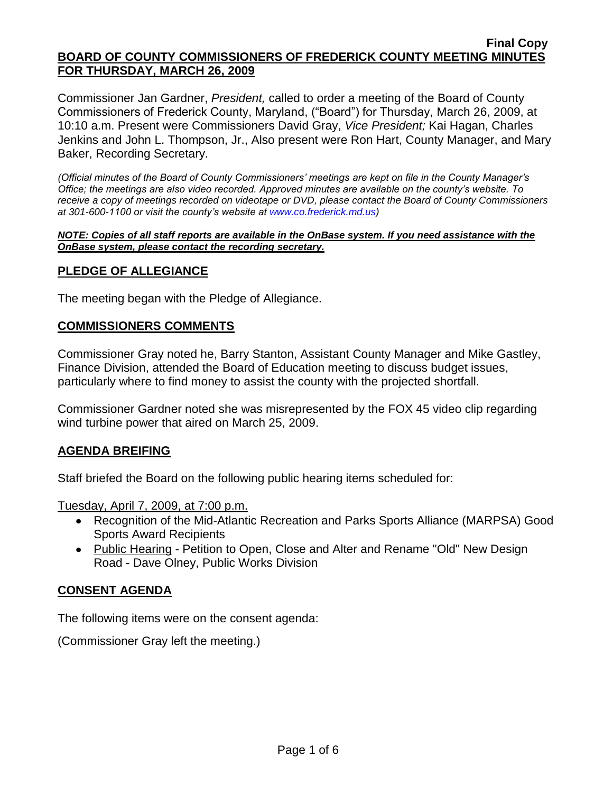Commissioner Jan Gardner, *President,* called to order a meeting of the Board of County Commissioners of Frederick County, Maryland, ("Board") for Thursday, March 26, 2009, at 10:10 a.m. Present were Commissioners David Gray, *Vice President;* Kai Hagan, Charles Jenkins and John L. Thompson, Jr., Also present were Ron Hart, County Manager, and Mary Baker, Recording Secretary.

*(Official minutes of the Board of County Commissioners' meetings are kept on file in the County Manager's Office; the meetings are also video recorded. Approved minutes are available on the county's website. To receive a copy of meetings recorded on videotape or DVD, please contact the Board of County Commissioners at 301-600-1100 or visit the county's website at [www.co.frederick.md.us\)](http://www.co.frederick.md.us/)*

#### *NOTE: Copies of all staff reports are available in the OnBase system. If you need assistance with the OnBase system, please contact the recording secretary.*

## **PLEDGE OF ALLEGIANCE**

The meeting began with the Pledge of Allegiance.

### **COMMISSIONERS COMMENTS**

Commissioner Gray noted he, Barry Stanton, Assistant County Manager and Mike Gastley, Finance Division, attended the Board of Education meeting to discuss budget issues, particularly where to find money to assist the county with the projected shortfall.

Commissioner Gardner noted she was misrepresented by the FOX 45 video clip regarding wind turbine power that aired on March 25, 2009.

### **AGENDA BREIFING**

Staff briefed the Board on the following public hearing items scheduled for:

Tuesday, April 7, 2009, at 7:00 p.m.

- Recognition of the Mid-Atlantic Recreation and Parks Sports Alliance (MARPSA) Good Sports Award Recipients
- Public Hearing Petition to Open, Close and Alter and Rename "Old" New Design Road - Dave Olney, Public Works Division

### **CONSENT AGENDA**

The following items were on the consent agenda:

(Commissioner Gray left the meeting.)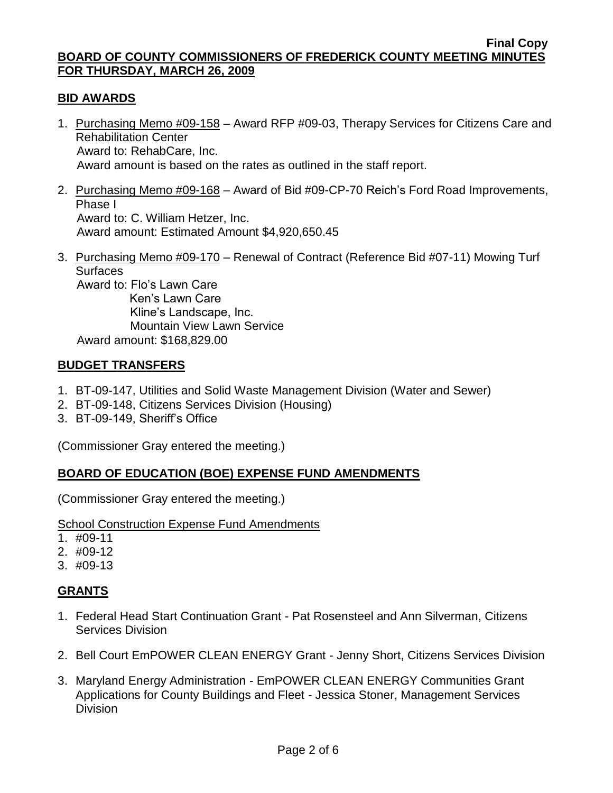## **BID AWARDS**

- 1. Purchasing Memo #09-158 Award RFP #09-03, Therapy Services for Citizens Care and Rehabilitation Center Award to: RehabCare, Inc. Award amount is based on the rates as outlined in the staff report.
- 2. Purchasing Memo #09-168 Award of Bid #09-CP-70 Reich's Ford Road Improvements, Phase I Award to: C. William Hetzer, Inc. Award amount: Estimated Amount \$4,920,650.45
- 3. Purchasing Memo #09-170 Renewal of Contract (Reference Bid #07-11) Mowing Turf **Surfaces**

 Award to: Flo's Lawn Care Ken's Lawn Care Kline's Landscape, Inc. Mountain View Lawn Service Award amount: \$168,829.00

### **BUDGET TRANSFERS**

- 1. BT-09-147, Utilities and Solid Waste Management Division (Water and Sewer)
- 2. BT-09-148, Citizens Services Division (Housing)
- 3. BT-09-149, Sheriff's Office

(Commissioner Gray entered the meeting.)

# **BOARD OF EDUCATION (BOE) EXPENSE FUND AMENDMENTS**

(Commissioner Gray entered the meeting.)

### School Construction Expense Fund Amendments

- 1. #09-11
- 2. #09-12
- 3. #09-13

# **GRANTS**

- 1. Federal Head Start Continuation Grant Pat Rosensteel and Ann Silverman, Citizens Services Division
- 2. Bell Court EmPOWER CLEAN ENERGY Grant Jenny Short, Citizens Services Division
- 3. Maryland Energy Administration EmPOWER CLEAN ENERGY Communities Grant Applications for County Buildings and Fleet - Jessica Stoner, Management Services **Division**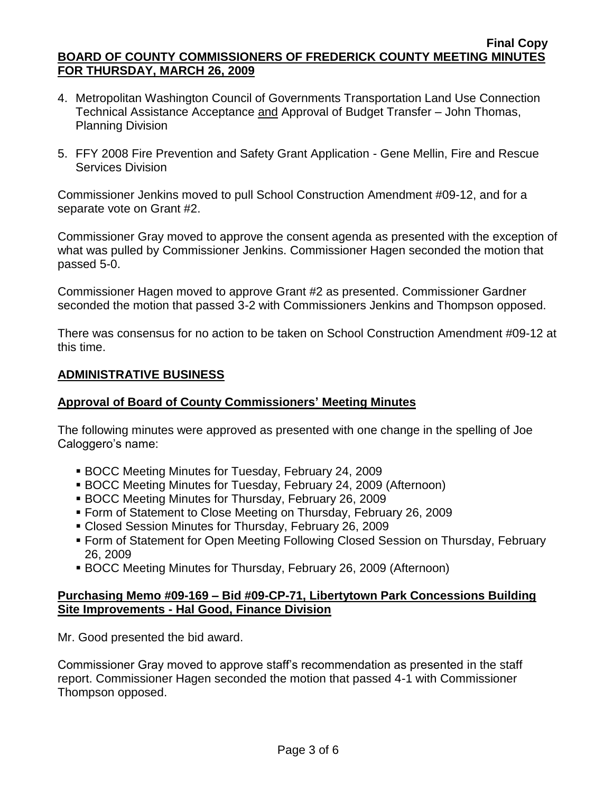- 4. Metropolitan Washington Council of Governments Transportation Land Use Connection Technical Assistance Acceptance and Approval of Budget Transfer – John Thomas, Planning Division
- 5. FFY 2008 Fire Prevention and Safety Grant Application Gene Mellin, Fire and Rescue Services Division

Commissioner Jenkins moved to pull School Construction Amendment #09-12, and for a separate vote on Grant #2.

Commissioner Gray moved to approve the consent agenda as presented with the exception of what was pulled by Commissioner Jenkins. Commissioner Hagen seconded the motion that passed 5-0.

Commissioner Hagen moved to approve Grant #2 as presented. Commissioner Gardner seconded the motion that passed 3-2 with Commissioners Jenkins and Thompson opposed.

There was consensus for no action to be taken on School Construction Amendment #09-12 at this time.

## **ADMINISTRATIVE BUSINESS**

## **Approval of Board of County Commissioners' Meeting Minutes**

The following minutes were approved as presented with one change in the spelling of Joe Caloggero's name:

- BOCC Meeting Minutes for Tuesday, February 24, 2009
- BOCC Meeting Minutes for Tuesday, February 24, 2009 (Afternoon)
- BOCC Meeting Minutes for Thursday, February 26, 2009
- Form of Statement to Close Meeting on Thursday, February 26, 2009
- Closed Session Minutes for Thursday, February 26, 2009
- Form of Statement for Open Meeting Following Closed Session on Thursday, February 26, 2009
- BOCC Meeting Minutes for Thursday, February 26, 2009 (Afternoon)

### **Purchasing Memo #09-169 – Bid #09-CP-71, Libertytown Park Concessions Building Site Improvements - Hal Good, Finance Division**

Mr. Good presented the bid award.

Commissioner Gray moved to approve staff's recommendation as presented in the staff report. Commissioner Hagen seconded the motion that passed 4-1 with Commissioner Thompson opposed.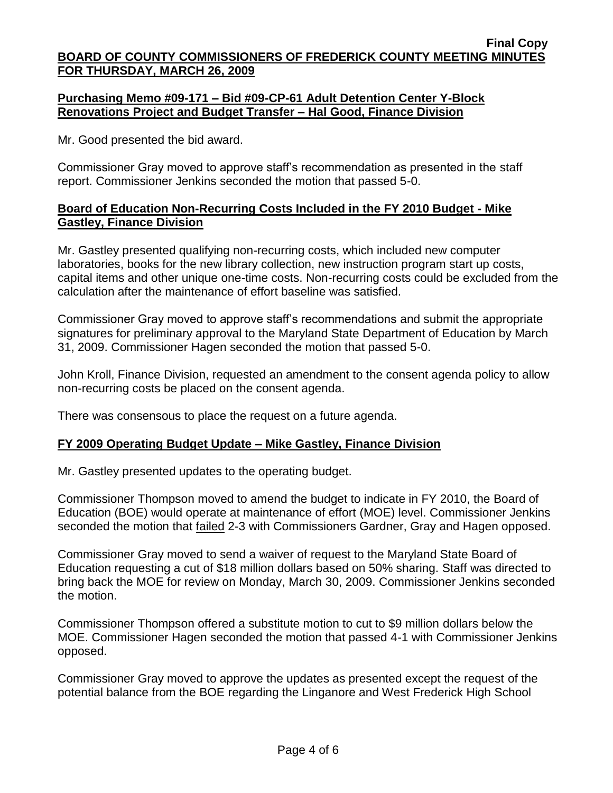## **Purchasing Memo #09-171 – Bid #09-CP-61 Adult Detention Center Y-Block Renovations Project and Budget Transfer – Hal Good, Finance Division**

Mr. Good presented the bid award.

Commissioner Gray moved to approve staff's recommendation as presented in the staff report. Commissioner Jenkins seconded the motion that passed 5-0.

## **Board of Education Non-Recurring Costs Included in the FY 2010 Budget - Mike Gastley, Finance Division**

Mr. Gastley presented qualifying non-recurring costs, which included new computer laboratories, books for the new library collection, new instruction program start up costs, capital items and other unique one-time costs. Non-recurring costs could be excluded from the calculation after the maintenance of effort baseline was satisfied.

Commissioner Gray moved to approve staff's recommendations and submit the appropriate signatures for preliminary approval to the Maryland State Department of Education by March 31, 2009. Commissioner Hagen seconded the motion that passed 5-0.

John Kroll, Finance Division, requested an amendment to the consent agenda policy to allow non-recurring costs be placed on the consent agenda.

There was consensous to place the request on a future agenda.

# **FY 2009 Operating Budget Update – Mike Gastley, Finance Division**

Mr. Gastley presented updates to the operating budget.

Commissioner Thompson moved to amend the budget to indicate in FY 2010, the Board of Education (BOE) would operate at maintenance of effort (MOE) level. Commissioner Jenkins seconded the motion that failed 2-3 with Commissioners Gardner, Gray and Hagen opposed.

Commissioner Gray moved to send a waiver of request to the Maryland State Board of Education requesting a cut of \$18 million dollars based on 50% sharing. Staff was directed to bring back the MOE for review on Monday, March 30, 2009. Commissioner Jenkins seconded the motion.

Commissioner Thompson offered a substitute motion to cut to \$9 million dollars below the MOE. Commissioner Hagen seconded the motion that passed 4-1 with Commissioner Jenkins opposed.

Commissioner Gray moved to approve the updates as presented except the request of the potential balance from the BOE regarding the Linganore and West Frederick High School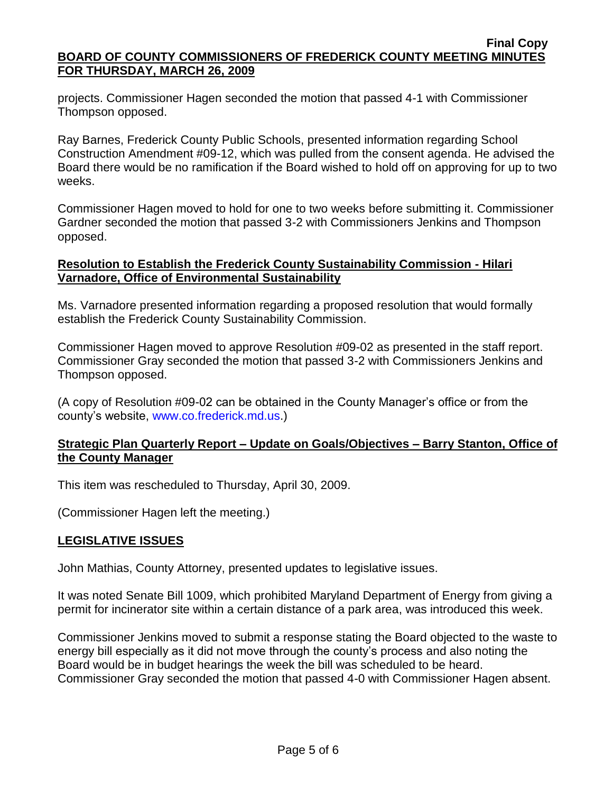projects. Commissioner Hagen seconded the motion that passed 4-1 with Commissioner Thompson opposed.

Ray Barnes, Frederick County Public Schools, presented information regarding School Construction Amendment #09-12, which was pulled from the consent agenda. He advised the Board there would be no ramification if the Board wished to hold off on approving for up to two weeks.

Commissioner Hagen moved to hold for one to two weeks before submitting it. Commissioner Gardner seconded the motion that passed 3-2 with Commissioners Jenkins and Thompson opposed.

## **Resolution to Establish the Frederick County Sustainability Commission - Hilari Varnadore, Office of Environmental Sustainability**

Ms. Varnadore presented information regarding a proposed resolution that would formally establish the Frederick County Sustainability Commission.

Commissioner Hagen moved to approve Resolution #09-02 as presented in the staff report. Commissioner Gray seconded the motion that passed 3-2 with Commissioners Jenkins and Thompson opposed.

(A copy of Resolution #09-02 can be obtained in the County Manager's office or from the county's website, [www.co.frederick.md.us.](www.co.frederick.md.us))

### **Strategic Plan Quarterly Report – Update on Goals/Objectives – Barry Stanton, Office of the County Manager**

This item was rescheduled to Thursday, April 30, 2009.

(Commissioner Hagen left the meeting.)

# **LEGISLATIVE ISSUES**

John Mathias, County Attorney, presented updates to legislative issues.

It was noted Senate Bill 1009, which prohibited Maryland Department of Energy from giving a permit for incinerator site within a certain distance of a park area, was introduced this week.

Commissioner Jenkins moved to submit a response stating the Board objected to the waste to energy bill especially as it did not move through the county's process and also noting the Board would be in budget hearings the week the bill was scheduled to be heard. Commissioner Gray seconded the motion that passed 4-0 with Commissioner Hagen absent.